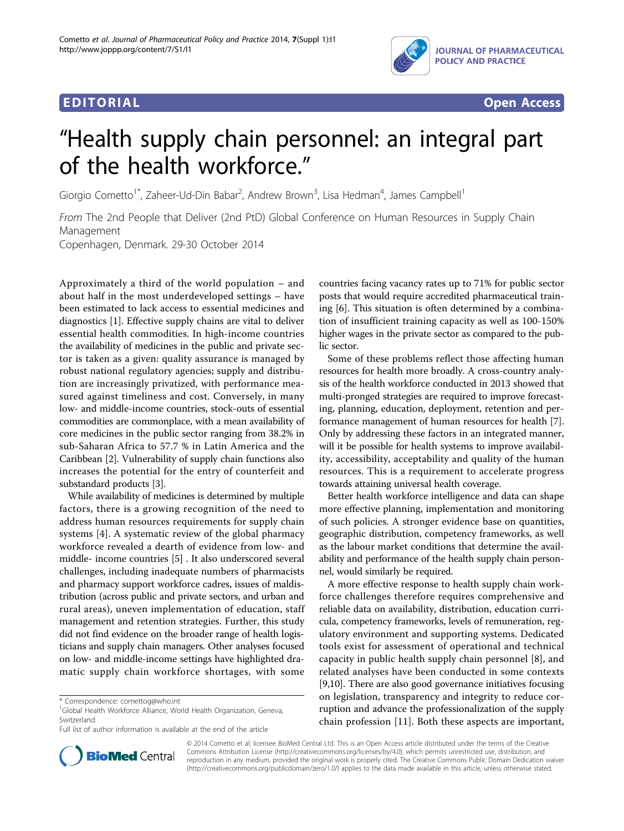



# "Health supply chain personnel: an integral part of the health workforce."

Giorgio Cometto<sup>1\*</sup>, Zaheer-Ud-Din Babar<sup>2</sup>, Andrew Brown<sup>3</sup>, Lisa Hedman<sup>4</sup>, James Campbell<sup>1</sup>

From The 2nd People that Deliver (2nd PtD) Global Conference on Human Resources in Supply Chain Management

Copenhagen, Denmark. 29-30 October 2014

Approximately a third of the world population – and about half in the most underdeveloped settings – have been estimated to lack access to essential medicines and diagnostics [[1\]](#page-1-0). Effective supply chains are vital to deliver essential health commodities. In high-income countries the availability of medicines in the public and private sector is taken as a given: quality assurance is managed by robust national regulatory agencies; supply and distribution are increasingly privatized, with performance measured against timeliness and cost. Conversely, in many low- and middle-income countries, stock-outs of essential commodities are commonplace, with a mean availability of core medicines in the public sector ranging from 38.2% in sub-Saharan Africa to 57.7 % in Latin America and the Caribbean [[2](#page-1-0)]. Vulnerability of supply chain functions also increases the potential for the entry of counterfeit and substandard products [\[3](#page-1-0)].

While availability of medicines is determined by multiple factors, there is a growing recognition of the need to address human resources requirements for supply chain systems [[4](#page-1-0)]. A systematic review of the global pharmacy workforce revealed a dearth of evidence from low- and middle- income countries [[5\]](#page-1-0) . It also underscored several challenges, including inadequate numbers of pharmacists and pharmacy support workforce cadres, issues of maldistribution (across public and private sectors, and urban and rural areas), uneven implementation of education, staff management and retention strategies. Further, this study did not find evidence on the broader range of health logisticians and supply chain managers. Other analyses focused on low- and middle-income settings have highlighted dramatic supply chain workforce shortages, with some

countries facing vacancy rates up to 71% for public sector posts that would require accredited pharmaceutical training [[6\]](#page-1-0). This situation is often determined by a combination of insufficient training capacity as well as 100-150% higher wages in the private sector as compared to the public sector.

Some of these problems reflect those affecting human resources for health more broadly. A cross-country analysis of the health workforce conducted in 2013 showed that multi-pronged strategies are required to improve forecasting, planning, education, deployment, retention and performance management of human resources for health [\[7](#page-1-0)]. Only by addressing these factors in an integrated manner, will it be possible for health systems to improve availability, accessibility, acceptability and quality of the human resources. This is a requirement to accelerate progress towards attaining universal health coverage.

Better health workforce intelligence and data can shape more effective planning, implementation and monitoring of such policies. A stronger evidence base on quantities, geographic distribution, competency frameworks, as well as the labour market conditions that determine the availability and performance of the health supply chain personnel, would similarly be required.

A more effective response to health supply chain workforce challenges therefore requires comprehensive and reliable data on availability, distribution, education curricula, competency frameworks, levels of remuneration, regulatory environment and supporting systems. Dedicated tools exist for assessment of operational and technical capacity in public health supply chain personnel [\[8](#page-1-0)], and related analyses have been conducted in some contexts [[9,](#page-1-0)[10](#page-2-0)]. There are also good governance initiatives focusing on legislation, transparency and integrity to reduce corruption and advance the professionalization of the supply chain profession [[11\]](#page-2-0). Both these aspects are important,



© 2014 Cometto et al; licensee BioMed Central Ltd. This is an Open Access article distributed under the terms of the Creative Commons Attribution License [\(http://creativecommons.org/licenses/by/4.0](http://creativecommons.org/licenses/by/4.0)), which permits unrestricted use, distribution, and reproduction in any medium, provided the original work is properly cited. The Creative Commons Public Domain Dedication waiver [\(http://creativecommons.org/publicdomain/zero/1.0/](http://creativecommons.org/publicdomain/zero/1.0/)) applies to the data made available in this article, unless otherwise stated.

<sup>\*</sup> Correspondence: [comettog@who.int](mailto:comettog@who.int)

<sup>&</sup>lt;sup>1</sup>Global Health Workforce Alliance, World Health Organization, Geneva, Switzerland

Full list of author information is available at the end of the article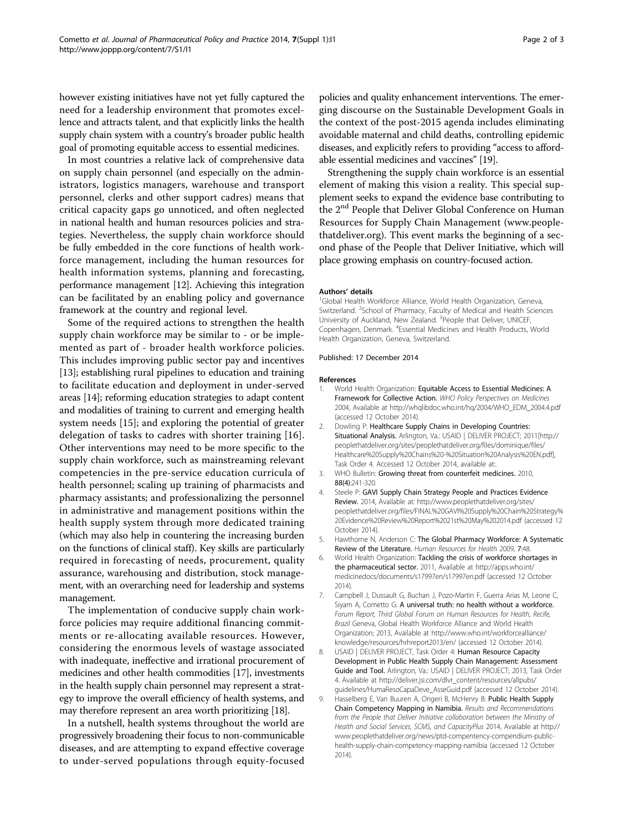<span id="page-1-0"></span>however existing initiatives have not yet fully captured the need for a leadership environment that promotes excellence and attracts talent, and that explicitly links the health supply chain system with a country's broader public health goal of promoting equitable access to essential medicines.

In most countries a relative lack of comprehensive data on supply chain personnel (and especially on the administrators, logistics managers, warehouse and transport personnel, clerks and other support cadres) means that critical capacity gaps go unnoticed, and often neglected in national health and human resources policies and strategies. Nevertheless, the supply chain workforce should be fully embedded in the core functions of health workforce management, including the human resources for health information systems, planning and forecasting, performance management [\[12\]](#page-2-0). Achieving this integration can be facilitated by an enabling policy and governance framework at the country and regional level.

Some of the required actions to strengthen the health supply chain workforce may be similar to - or be implemented as part of - broader health workforce policies. This includes improving public sector pay and incentives [[13\]](#page-2-0); establishing rural pipelines to education and training to facilitate education and deployment in under-served areas [[14](#page-2-0)]; reforming education strategies to adapt content and modalities of training to current and emerging health system needs [\[15](#page-2-0)]; and exploring the potential of greater delegation of tasks to cadres with shorter training [[16](#page-2-0)]. Other interventions may need to be more specific to the supply chain workforce, such as mainstreaming relevant competencies in the pre-service education curricula of health personnel; scaling up training of pharmacists and pharmacy assistants; and professionalizing the personnel in administrative and management positions within the health supply system through more dedicated training (which may also help in countering the increasing burden on the functions of clinical staff). Key skills are particularly required in forecasting of needs, procurement, quality assurance, warehousing and distribution, stock management, with an overarching need for leadership and systems management.

The implementation of conducive supply chain workforce policies may require additional financing commitments or re-allocating available resources. However, considering the enormous levels of wastage associated with inadequate, ineffective and irrational procurement of medicines and other health commodities [\[17\]](#page-2-0), investments in the health supply chain personnel may represent a strategy to improve the overall efficiency of health systems, and may therefore represent an area worth prioritizing [\[18\]](#page-2-0).

In a nutshell, health systems throughout the world are progressively broadening their focus to non-communicable diseases, and are attempting to expand effective coverage to under-served populations through equity-focused policies and quality enhancement interventions. The emerging discourse on the Sustainable Development Goals in the context of the post-2015 agenda includes eliminating avoidable maternal and child deaths, controlling epidemic diseases, and explicitly refers to providing "access to affordable essential medicines and vaccines" [[19](#page-2-0)].

Strengthening the supply chain workforce is an essential element of making this vision a reality. This special supplement seeks to expand the evidence base contributing to the 2<sup>nd</sup> People that Deliver Global Conference on Human Resources for Supply Chain Management [\(www.people](www.peoplethatdeliver.org)[thatdeliver.org\)](www.peoplethatdeliver.org). This event marks the beginning of a second phase of the People that Deliver Initiative, which will place growing emphasis on country-focused action.

## Authors' details <sup>1</sup>

<sup>1</sup>Global Health Workforce Alliance, World Health Organization, Geneva, Switzerland. <sup>2</sup>School of Pharmacy, Faculty of Medical and Health Sciences University of Auckland, New Zealand. <sup>3</sup> People that Deliver, UNICEF, Copenhagen, Denmark. <sup>4</sup>Essential Medicines and Health Products, World Health Organization, Geneva, Switzerland.

# Published: 17 December 2014

#### References

- 1. World Health Organization: Equitable Access to Essential Medicines: A Framework for Collective Action. WHO Policy Perspectives on Medicines 2004, Available at http://whqlibdoc.who.int/hq/2004/WHO\_EDM\_2004.4.pdf (accessed 12 October 2014).
- 2. Dowling P: Healthcare Supply Chains in Developing Countries: Situational Analysis. Arlington, Va.: USAID | DELIVER PROJECT; 2011[\[http://](http://peoplethatdeliver.org/sites/peoplethatdeliver.org/files/dominique/files/Healthcare%20Supply%20Chains%20-%20Situation%20Analysis%20EN.pdf) [peoplethatdeliver.org/sites/peoplethatdeliver.org/files/dominique/files/](http://peoplethatdeliver.org/sites/peoplethatdeliver.org/files/dominique/files/Healthcare%20Supply%20Chains%20-%20Situation%20Analysis%20EN.pdf) [Healthcare%20Supply%20Chains%20-%20Situation%20Analysis%20EN.pdf](http://peoplethatdeliver.org/sites/peoplethatdeliver.org/files/dominique/files/Healthcare%20Supply%20Chains%20-%20Situation%20Analysis%20EN.pdf)], Task Order 4. Accessed 12 October 2014, available at:.
- 3. WHO Bulletin: Growing threat from counterfeit medicines. 2010, 88(4):241-320.
- 4. Steele P: GAVI Supply Chain Strategy People and Practices Evidence Review. 2014, Available at: http://www.peoplethatdeliver.org/sites/ peoplethatdeliver.org/files/FINAL%20GAVI%20Supply%20Chain%20Strategy% 20Evidence%20Review%20Report%2021st%20May%202014.pdf (accessed 12 October 2014).
- 5. Hawthorne N, Anderson C: The Global Pharmacy Workforce: A Systematic Review of the Literature. Human Resources for Health 2009, 7:48
- 6. World Health Organization: Tackling the crisis of workforce shortages in the pharmaceutical sector. 2011, Available at http://apps.who.int/ medicinedocs/documents/s17997en/s17997en.pdf (accessed 12 October 2014).
- 7. Campbell J, Dussault G, Buchan J, Pozo-Martin F, Guerra Arias M, Leone C, Siyam A, Cometto G: A universal truth: no health without a workforce. Forum Report, Third Global Forum on Human Resources for Health, Recife, Brazil Geneva, Global Health Workforce Alliance and World Health Organization; 2013, Available at http://www.who.int/workforcealliance/ knowledge/resources/hrhreport2013/en/ (accessed 12 October 2014).
- 8. USAID | DELIVER PROJECT, Task Order 4: Human Resource Capacity Development in Public Health Supply Chain Management: Assessment Guide and Tool. Arlington, Va.: USAID | DELIVER PROJECT; 2013, Task Order 4. Available at http://deliver.jsi.com/dlvr\_content/resources/allpubs/ guidelines/HumaResoCapaDeve\_AsseGuid.pdf (accessed 12 October 2014).
- 9. Hasselberg E, Van Buuren A, Ongeri B, McHenry B: Public Health Supply Chain Competency Mapping in Namibia. Results and Recommendations from the People that Deliver Initiative collaboration between the Ministry of Health and Social Services, SCMS, and CapacityPlus 2014, Available at http:// www.peoplethatdeliver.org/news/ptd-compentency-compendium-publichealth-supply-chain-competency-mapping-namibia (accessed 12 October 2014).